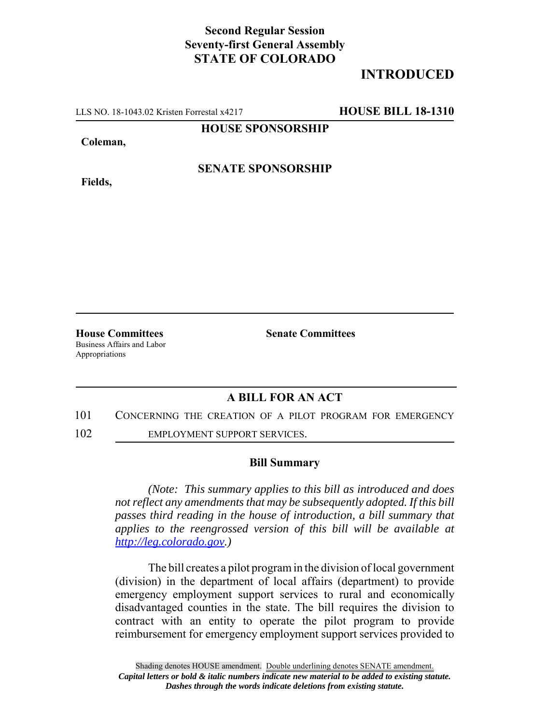# **Second Regular Session Seventy-first General Assembly STATE OF COLORADO**

# **INTRODUCED**

LLS NO. 18-1043.02 Kristen Forrestal x4217 **HOUSE BILL 18-1310**

### **HOUSE SPONSORSHIP**

#### **Coleman,**

**Fields,**

## **SENATE SPONSORSHIP**

**House Committees Senate Committees** Business Affairs and Labor Appropriations

### **A BILL FOR AN ACT**

- 101 CONCERNING THE CREATION OF A PILOT PROGRAM FOR EMERGENCY
- 102 EMPLOYMENT SUPPORT SERVICES.

#### **Bill Summary**

*(Note: This summary applies to this bill as introduced and does not reflect any amendments that may be subsequently adopted. If this bill passes third reading in the house of introduction, a bill summary that applies to the reengrossed version of this bill will be available at http://leg.colorado.gov.)*

The bill creates a pilot program in the division of local government (division) in the department of local affairs (department) to provide emergency employment support services to rural and economically disadvantaged counties in the state. The bill requires the division to contract with an entity to operate the pilot program to provide reimbursement for emergency employment support services provided to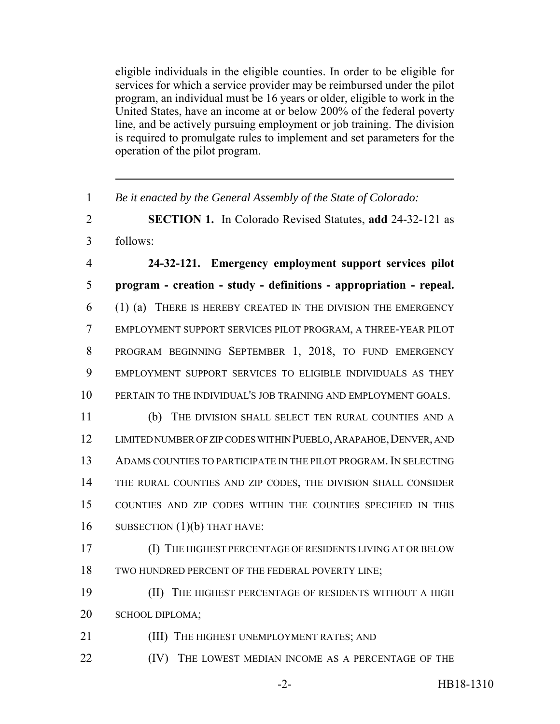eligible individuals in the eligible counties. In order to be eligible for services for which a service provider may be reimbursed under the pilot program, an individual must be 16 years or older, eligible to work in the United States, have an income at or below 200% of the federal poverty line, and be actively pursuing employment or job training. The division is required to promulgate rules to implement and set parameters for the operation of the pilot program.

 *Be it enacted by the General Assembly of the State of Colorado:* **SECTION 1.** In Colorado Revised Statutes, **add** 24-32-121 as follows: **24-32-121. Emergency employment support services pilot program - creation - study - definitions - appropriation - repeal.** (1) (a) THERE IS HEREBY CREATED IN THE DIVISION THE EMERGENCY EMPLOYMENT SUPPORT SERVICES PILOT PROGRAM, A THREE-YEAR PILOT PROGRAM BEGINNING SEPTEMBER 1, 2018, TO FUND EMERGENCY EMPLOYMENT SUPPORT SERVICES TO ELIGIBLE INDIVIDUALS AS THEY PERTAIN TO THE INDIVIDUAL'S JOB TRAINING AND EMPLOYMENT GOALS. (b) THE DIVISION SHALL SELECT TEN RURAL COUNTIES AND A 12 LIMITED NUMBER OF ZIP CODES WITHIN PUEBLO, ARAPAHOE, DENVER, AND ADAMS COUNTIES TO PARTICIPATE IN THE PILOT PROGRAM. IN SELECTING THE RURAL COUNTIES AND ZIP CODES, THE DIVISION SHALL CONSIDER COUNTIES AND ZIP CODES WITHIN THE COUNTIES SPECIFIED IN THIS 16 SUBSECTION  $(1)(b)$  THAT HAVE: (I) THE HIGHEST PERCENTAGE OF RESIDENTS LIVING AT OR BELOW TWO HUNDRED PERCENT OF THE FEDERAL POVERTY LINE; (II) THE HIGHEST PERCENTAGE OF RESIDENTS WITHOUT A HIGH SCHOOL DIPLOMA; **(III)** THE HIGHEST UNEMPLOYMENT RATES; AND **(IV)** THE LOWEST MEDIAN INCOME AS A PERCENTAGE OF THE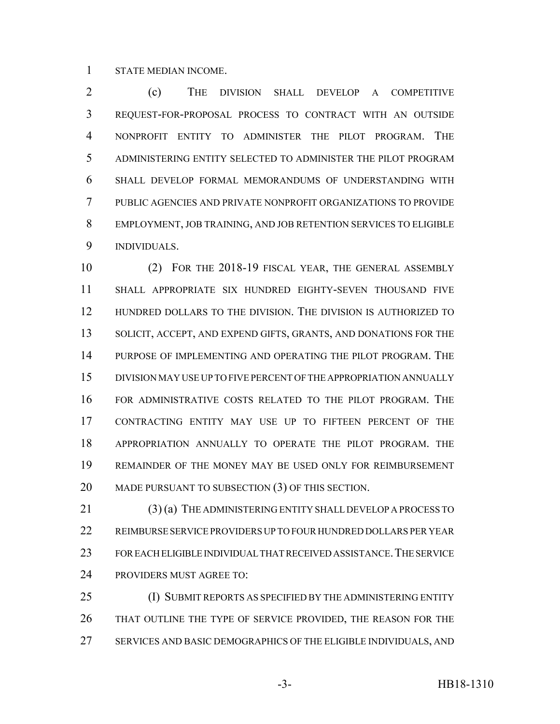STATE MEDIAN INCOME.

 (c) THE DIVISION SHALL DEVELOP A COMPETITIVE REQUEST-FOR-PROPOSAL PROCESS TO CONTRACT WITH AN OUTSIDE NONPROFIT ENTITY TO ADMINISTER THE PILOT PROGRAM. THE ADMINISTERING ENTITY SELECTED TO ADMINISTER THE PILOT PROGRAM SHALL DEVELOP FORMAL MEMORANDUMS OF UNDERSTANDING WITH PUBLIC AGENCIES AND PRIVATE NONPROFIT ORGANIZATIONS TO PROVIDE EMPLOYMENT, JOB TRAINING, AND JOB RETENTION SERVICES TO ELIGIBLE INDIVIDUALS.

 (2) FOR THE 2018-19 FISCAL YEAR, THE GENERAL ASSEMBLY SHALL APPROPRIATE SIX HUNDRED EIGHTY-SEVEN THOUSAND FIVE HUNDRED DOLLARS TO THE DIVISION. THE DIVISION IS AUTHORIZED TO 13 SOLICIT, ACCEPT, AND EXPEND GIFTS, GRANTS, AND DONATIONS FOR THE PURPOSE OF IMPLEMENTING AND OPERATING THE PILOT PROGRAM. THE DIVISION MAY USE UP TO FIVE PERCENT OF THE APPROPRIATION ANNUALLY FOR ADMINISTRATIVE COSTS RELATED TO THE PILOT PROGRAM. THE CONTRACTING ENTITY MAY USE UP TO FIFTEEN PERCENT OF THE APPROPRIATION ANNUALLY TO OPERATE THE PILOT PROGRAM. THE REMAINDER OF THE MONEY MAY BE USED ONLY FOR REIMBURSEMENT MADE PURSUANT TO SUBSECTION (3) OF THIS SECTION.

 (3) (a) THE ADMINISTERING ENTITY SHALL DEVELOP A PROCESS TO REIMBURSE SERVICE PROVIDERS UP TO FOUR HUNDRED DOLLARS PER YEAR 23 FOR EACH ELIGIBLE INDIVIDUAL THAT RECEIVED ASSISTANCE. THE SERVICE PROVIDERS MUST AGREE TO:

**(I) SUBMIT REPORTS AS SPECIFIED BY THE ADMINISTERING ENTITY**  THAT OUTLINE THE TYPE OF SERVICE PROVIDED, THE REASON FOR THE SERVICES AND BASIC DEMOGRAPHICS OF THE ELIGIBLE INDIVIDUALS, AND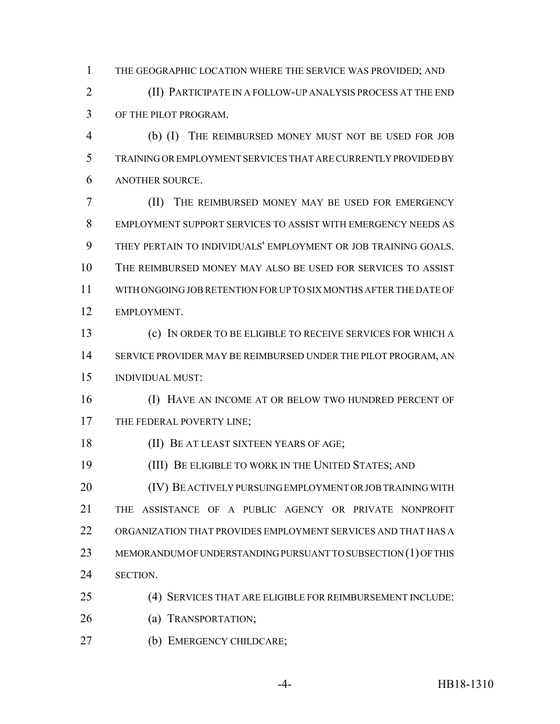THE GEOGRAPHIC LOCATION WHERE THE SERVICE WAS PROVIDED; AND

 (II) PARTICIPATE IN A FOLLOW-UP ANALYSIS PROCESS AT THE END OF THE PILOT PROGRAM.

 (b) (I) THE REIMBURSED MONEY MUST NOT BE USED FOR JOB TRAINING OR EMPLOYMENT SERVICES THAT ARE CURRENTLY PROVIDED BY ANOTHER SOURCE.

 (II) THE REIMBURSED MONEY MAY BE USED FOR EMERGENCY EMPLOYMENT SUPPORT SERVICES TO ASSIST WITH EMERGENCY NEEDS AS THEY PERTAIN TO INDIVIDUALS' EMPLOYMENT OR JOB TRAINING GOALS. THE REIMBURSED MONEY MAY ALSO BE USED FOR SERVICES TO ASSIST WITH ONGOING JOB RETENTION FOR UP TO SIX MONTHS AFTER THE DATE OF EMPLOYMENT.

 (c) IN ORDER TO BE ELIGIBLE TO RECEIVE SERVICES FOR WHICH A SERVICE PROVIDER MAY BE REIMBURSED UNDER THE PILOT PROGRAM, AN INDIVIDUAL MUST:

 (I) HAVE AN INCOME AT OR BELOW TWO HUNDRED PERCENT OF 17 THE FEDERAL POVERTY LINE;

(II) BE AT LEAST SIXTEEN YEARS OF AGE;

(III) BE ELIGIBLE TO WORK IN THE UNITED STATES; AND

 (IV) BE ACTIVELY PURSUING EMPLOYMENT OR JOB TRAINING WITH THE ASSISTANCE OF A PUBLIC AGENCY OR PRIVATE NONPROFIT ORGANIZATION THAT PROVIDES EMPLOYMENT SERVICES AND THAT HAS A 23 MEMORANDUM OF UNDERSTANDING PURSUANT TO SUBSECTION (1) OF THIS SECTION.

(4) SERVICES THAT ARE ELIGIBLE FOR REIMBURSEMENT INCLUDE:

(a) TRANSPORTATION;

(b) EMERGENCY CHILDCARE;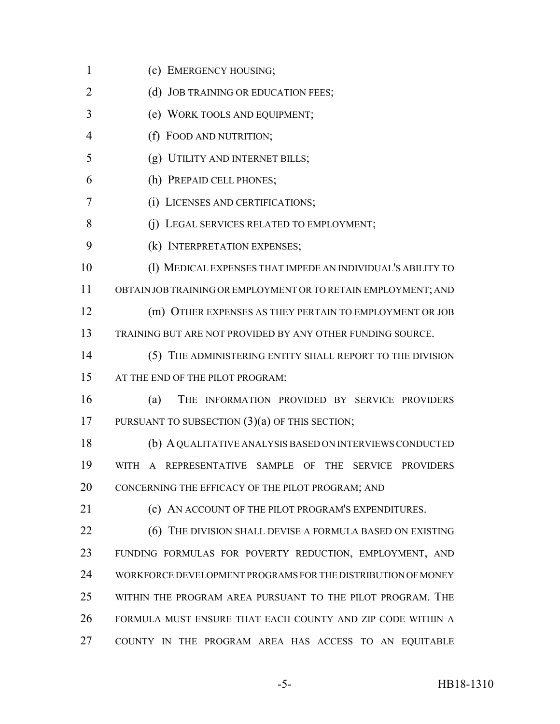(c) EMERGENCY HOUSING; 2 (d) JOB TRAINING OR EDUCATION FEES; (e) WORK TOOLS AND EQUIPMENT; (f) FOOD AND NUTRITION; (g) UTILITY AND INTERNET BILLS; (h) PREPAID CELL PHONES; (i) LICENSES AND CERTIFICATIONS; 8 (i) LEGAL SERVICES RELATED TO EMPLOYMENT; (k) INTERPRETATION EXPENSES; (l) MEDICAL EXPENSES THAT IMPEDE AN INDIVIDUAL'S ABILITY TO OBTAIN JOB TRAINING OR EMPLOYMENT OR TO RETAIN EMPLOYMENT; AND (m) OTHER EXPENSES AS THEY PERTAIN TO EMPLOYMENT OR JOB TRAINING BUT ARE NOT PROVIDED BY ANY OTHER FUNDING SOURCE. (5) THE ADMINISTERING ENTITY SHALL REPORT TO THE DIVISION AT THE END OF THE PILOT PROGRAM: (a) THE INFORMATION PROVIDED BY SERVICE PROVIDERS 17 PURSUANT TO SUBSECTION  $(3)(a)$  OF THIS SECTION; (b) A QUALITATIVE ANALYSIS BASED ON INTERVIEWS CONDUCTED WITH A REPRESENTATIVE SAMPLE OF THE SERVICE PROVIDERS CONCERNING THE EFFICACY OF THE PILOT PROGRAM; AND **(c) AN ACCOUNT OF THE PILOT PROGRAM'S EXPENDITURES. (6) THE DIVISION SHALL DEVISE A FORMULA BASED ON EXISTING**  FUNDING FORMULAS FOR POVERTY REDUCTION, EMPLOYMENT, AND WORKFORCE DEVELOPMENT PROGRAMS FOR THE DISTRIBUTION OF MONEY WITHIN THE PROGRAM AREA PURSUANT TO THE PILOT PROGRAM. THE FORMULA MUST ENSURE THAT EACH COUNTY AND ZIP CODE WITHIN A COUNTY IN THE PROGRAM AREA HAS ACCESS TO AN EQUITABLE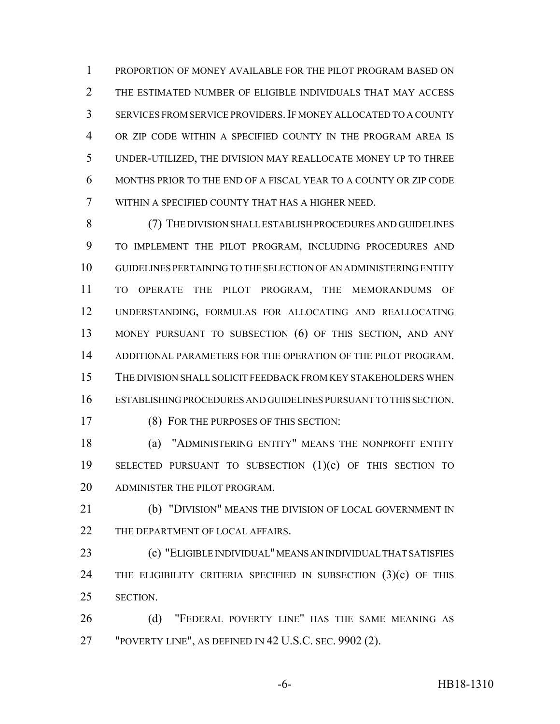PROPORTION OF MONEY AVAILABLE FOR THE PILOT PROGRAM BASED ON THE ESTIMATED NUMBER OF ELIGIBLE INDIVIDUALS THAT MAY ACCESS SERVICES FROM SERVICE PROVIDERS.IF MONEY ALLOCATED TO A COUNTY OR ZIP CODE WITHIN A SPECIFIED COUNTY IN THE PROGRAM AREA IS UNDER-UTILIZED, THE DIVISION MAY REALLOCATE MONEY UP TO THREE MONTHS PRIOR TO THE END OF A FISCAL YEAR TO A COUNTY OR ZIP CODE WITHIN A SPECIFIED COUNTY THAT HAS A HIGHER NEED.

 (7) THE DIVISION SHALL ESTABLISH PROCEDURES AND GUIDELINES TO IMPLEMENT THE PILOT PROGRAM, INCLUDING PROCEDURES AND GUIDELINES PERTAINING TO THE SELECTION OF AN ADMINISTERING ENTITY TO OPERATE THE PILOT PROGRAM, THE MEMORANDUMS OF UNDERSTANDING, FORMULAS FOR ALLOCATING AND REALLOCATING MONEY PURSUANT TO SUBSECTION (6) OF THIS SECTION, AND ANY ADDITIONAL PARAMETERS FOR THE OPERATION OF THE PILOT PROGRAM. THE DIVISION SHALL SOLICIT FEEDBACK FROM KEY STAKEHOLDERS WHEN ESTABLISHING PROCEDURES AND GUIDELINES PURSUANT TO THIS SECTION.

(8) FOR THE PURPOSES OF THIS SECTION:

 (a) "ADMINISTERING ENTITY" MEANS THE NONPROFIT ENTITY SELECTED PURSUANT TO SUBSECTION (1)(c) OF THIS SECTION TO ADMINISTER THE PILOT PROGRAM.

 (b) "DIVISION" MEANS THE DIVISION OF LOCAL GOVERNMENT IN 22 THE DEPARTMENT OF LOCAL AFFAIRS.

 (c) "ELIGIBLE INDIVIDUAL" MEANS AN INDIVIDUAL THAT SATISFIES THE ELIGIBILITY CRITERIA SPECIFIED IN SUBSECTION (3)(c) OF THIS SECTION.

26 (d) "FEDERAL POVERTY LINE" HAS THE SAME MEANING AS "POVERTY LINE", AS DEFINED IN 42 U.S.C. SEC. 9902 (2).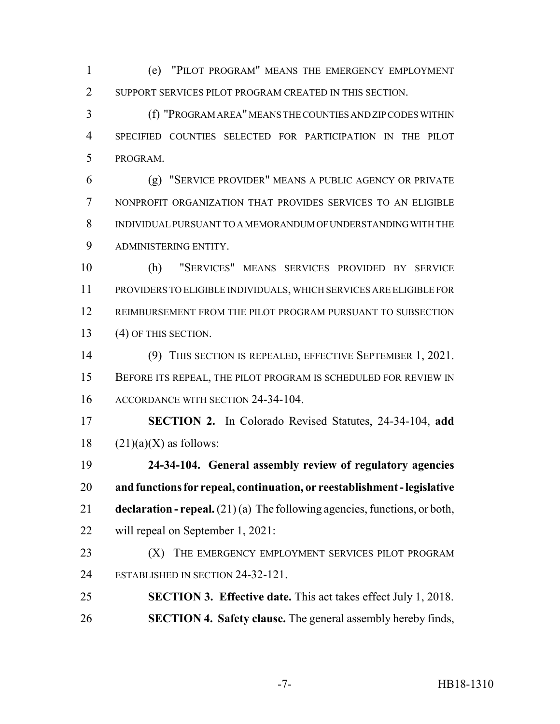(e) "PILOT PROGRAM" MEANS THE EMERGENCY EMPLOYMENT SUPPORT SERVICES PILOT PROGRAM CREATED IN THIS SECTION.

 (f) "PROGRAM AREA" MEANS THE COUNTIES AND ZIP CODES WITHIN SPECIFIED COUNTIES SELECTED FOR PARTICIPATION IN THE PILOT PROGRAM.

 (g) "SERVICE PROVIDER" MEANS A PUBLIC AGENCY OR PRIVATE NONPROFIT ORGANIZATION THAT PROVIDES SERVICES TO AN ELIGIBLE INDIVIDUAL PURSUANT TO A MEMORANDUM OF UNDERSTANDING WITH THE ADMINISTERING ENTITY.

 (h) "SERVICES" MEANS SERVICES PROVIDED BY SERVICE PROVIDERS TO ELIGIBLE INDIVIDUALS, WHICH SERVICES ARE ELIGIBLE FOR REIMBURSEMENT FROM THE PILOT PROGRAM PURSUANT TO SUBSECTION 13 (4) OF THIS SECTION.

 (9) THIS SECTION IS REPEALED, EFFECTIVE SEPTEMBER 1, 2021. BEFORE ITS REPEAL, THE PILOT PROGRAM IS SCHEDULED FOR REVIEW IN ACCORDANCE WITH SECTION 24-34-104.

 **SECTION 2.** In Colorado Revised Statutes, 24-34-104, **add** 18  $(21)(a)(X)$  as follows:

 **24-34-104. General assembly review of regulatory agencies and functions for repeal, continuation, or reestablishment - legislative declaration - repeal.** (21) (a) The following agencies, functions, or both, will repeal on September 1, 2021:

- **(X)** THE EMERGENCY EMPLOYMENT SERVICES PILOT PROGRAM ESTABLISHED IN SECTION 24-32-121.
- **SECTION 3. Effective date.** This act takes effect July 1, 2018. **SECTION 4. Safety clause.** The general assembly hereby finds,